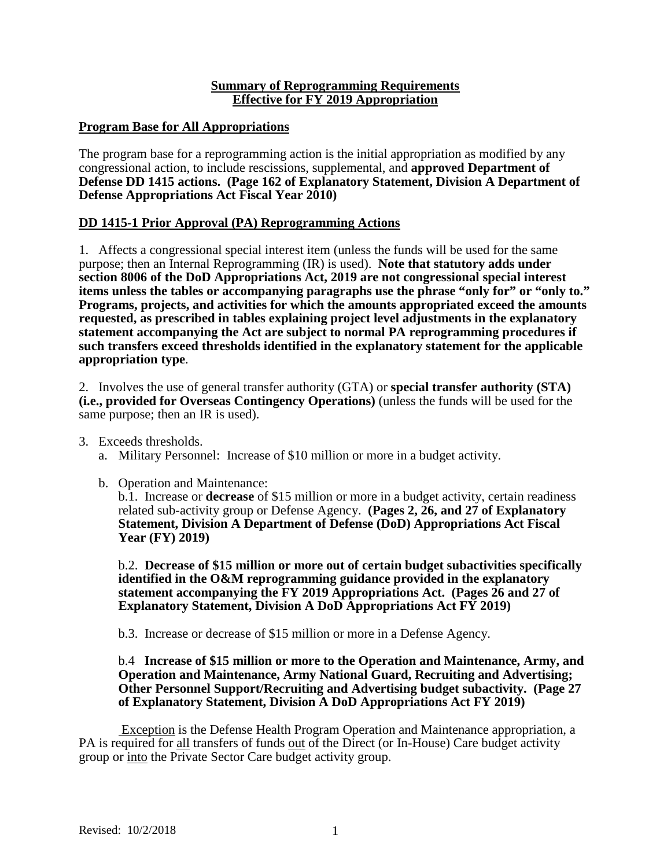### **Program Base for All Appropriations**

The program base for a reprogramming action is the initial appropriation as modified by any congressional action, to include rescissions, supplemental, and **approved Department of Defense DD 1415 actions. (Page 162 of Explanatory Statement, Division A Department of Defense Appropriations Act Fiscal Year 2010)**

## **DD 1415-1 Prior Approval (PA) Reprogramming Actions**

1. Affects a congressional special interest item (unless the funds will be used for the same purpose; then an Internal Reprogramming (IR) is used). **Note that statutory adds under section 8006 of the DoD Appropriations Act, 2019 are not congressional special interest items unless the tables or accompanying paragraphs use the phrase "only for" or "only to." Programs, projects, and activities for which the amounts appropriated exceed the amounts requested, as prescribed in tables explaining project level adjustments in the explanatory statement accompanying the Act are subject to normal PA reprogramming procedures if such transfers exceed thresholds identified in the explanatory statement for the applicable appropriation type**.

2. Involves the use of general transfer authority (GTA) or **special transfer authority (STA) (i.e., provided for Overseas Contingency Operations)** (unless the funds will be used for the same purpose; then an IR is used).

- 3. Exceeds thresholds.
	- a. Military Personnel: Increase of \$10 million or more in a budget activity.
	- b. Operation and Maintenance:

b.1. Increase or **decrease** of \$15 million or more in a budget activity, certain readiness related sub-activity group or Defense Agency. **(Pages 2, 26, and 27 of Explanatory Statement, Division A Department of Defense (DoD) Appropriations Act Fiscal Year (FY) 2019)**

b.2. **Decrease of \$15 million or more out of certain budget subactivities specifically identified in the O&M reprogramming guidance provided in the explanatory statement accompanying the FY 2019 Appropriations Act. (Pages 26 and 27 of Explanatory Statement, Division A DoD Appropriations Act FY 2019)**

b.3. Increase or decrease of \$15 million or more in a Defense Agency.

#### b.4 **Increase of \$15 million or more to the Operation and Maintenance, Army, and Operation and Maintenance, Army National Guard, Recruiting and Advertising; Other Personnel Support/Recruiting and Advertising budget subactivity. (Page 27 of Explanatory Statement, Division A DoD Appropriations Act FY 2019)**

Exception is the Defense Health Program Operation and Maintenance appropriation, a PA is required for all transfers of funds out of the Direct (or In-House) Care budget activity group or into the Private Sector Care budget activity group.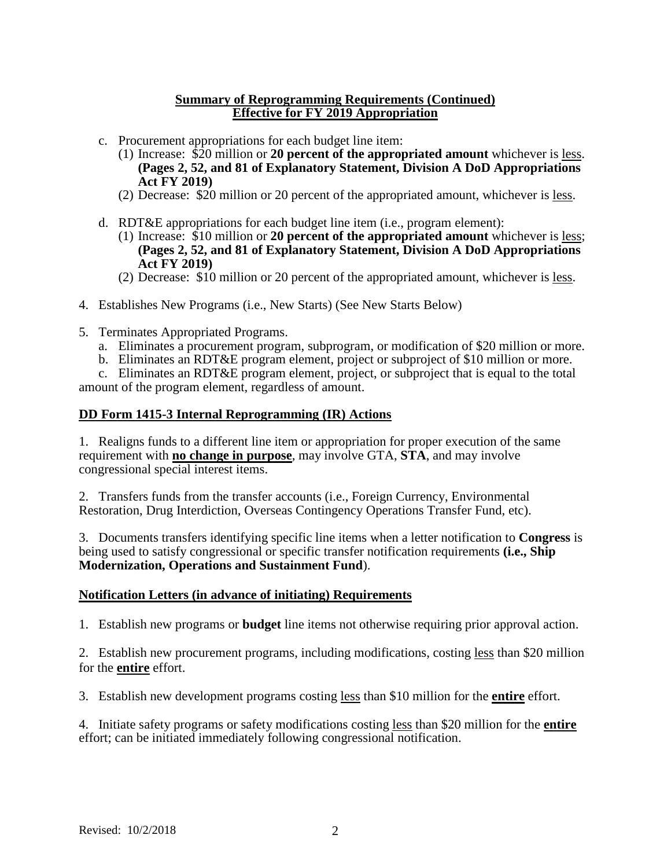- c. Procurement appropriations for each budget line item:
	- (1) Increase: \$20 million or **20 percent of the appropriated amount** whichever is less. **(Pages 2, 52, and 81 of Explanatory Statement, Division A DoD Appropriations Act FY 2019)**
	- (2) Decrease: \$20 million or 20 percent of the appropriated amount, whichever is less.
- d. RDT&E appropriations for each budget line item (i.e., program element):
	- (1) Increase: \$10 million or **20 percent of the appropriated amount** whichever is less; **(Pages 2, 52, and 81 of Explanatory Statement, Division A DoD Appropriations Act FY 2019)**
	- (2) Decrease: \$10 million or 20 percent of the appropriated amount, whichever is less.
- 4. Establishes New Programs (i.e., New Starts) (See New Starts Below)
- 5. Terminates Appropriated Programs.
	- a. Eliminates a procurement program, subprogram, or modification of \$20 million or more.
	- b. Eliminates an RDT&E program element, project or subproject of \$10 million or more.

c. Eliminates an RDT&E program element, project, or subproject that is equal to the total amount of the program element, regardless of amount.

### **DD Form 1415-3 Internal Reprogramming (IR) Actions**

1. Realigns funds to a different line item or appropriation for proper execution of the same requirement with **no change in purpose**, may involve GTA, **STA**, and may involve congressional special interest items.

2. Transfers funds from the transfer accounts (i.e., Foreign Currency, Environmental Restoration, Drug Interdiction, Overseas Contingency Operations Transfer Fund, etc).

3. Documents transfers identifying specific line items when a letter notification to **Congress** is being used to satisfy congressional or specific transfer notification requirements **(i.e., Ship Modernization, Operations and Sustainment Fund**).

### **Notification Letters (in advance of initiating) Requirements**

1. Establish new programs or **budget** line items not otherwise requiring prior approval action.

2. Establish new procurement programs, including modifications, costing less than \$20 million for the **entire** effort.

3. Establish new development programs costing less than \$10 million for the **entire** effort.

4. Initiate safety programs or safety modifications costing less than \$20 million for the **entire** effort; can be initiated immediately following congressional notification.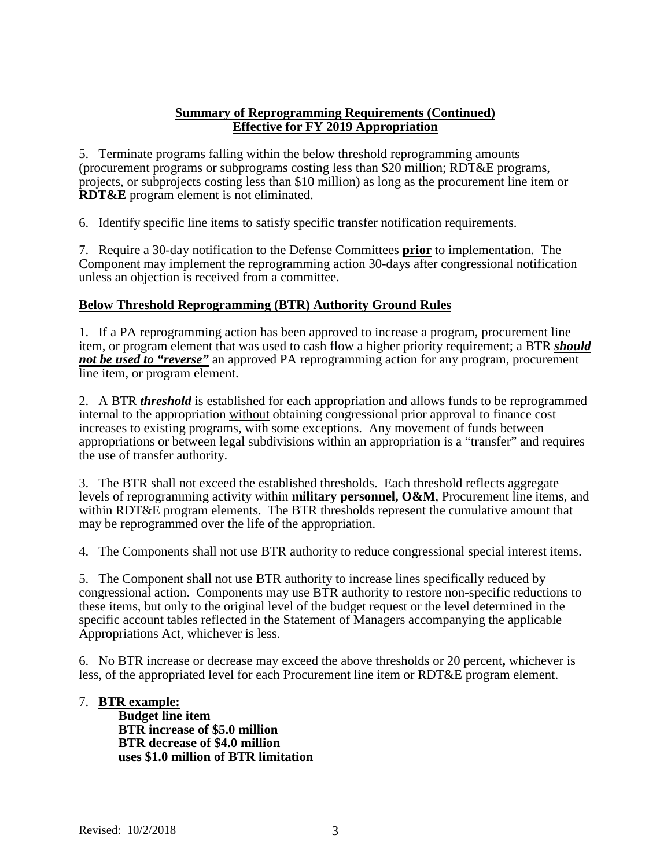5. Terminate programs falling within the below threshold reprogramming amounts (procurement programs or subprograms costing less than \$20 million; RDT&E programs, projects, or subprojects costing less than \$10 million) as long as the procurement line item or **RDT&E** program element is not eliminated.

6. Identify specific line items to satisfy specific transfer notification requirements.

7. Require a 30-day notification to the Defense Committees **prior** to implementation. The Component may implement the reprogramming action 30-days after congressional notification unless an objection is received from a committee.

### **Below Threshold Reprogramming (BTR) Authority Ground Rules**

1. If a PA reprogramming action has been approved to increase a program, procurement line item, or program element that was used to cash flow a higher priority requirement; a BTR *should not be used to "reverse"* an approved PA reprogramming action for any program, procurement line item, or program element.

2. A BTR *threshold* is established for each appropriation and allows funds to be reprogrammed internal to the appropriation without obtaining congressional prior approval to finance cost increases to existing programs, with some exceptions. Any movement of funds between appropriations or between legal subdivisions within an appropriation is a "transfer" and requires the use of transfer authority.

3. The BTR shall not exceed the established thresholds. Each threshold reflects aggregate levels of reprogramming activity within **military personnel, O&M**, Procurement line items, and within RDT&E program elements. The BTR thresholds represent the cumulative amount that may be reprogrammed over the life of the appropriation.

4. The Components shall not use BTR authority to reduce congressional special interest items.

5. The Component shall not use BTR authority to increase lines specifically reduced by congressional action. Components may use BTR authority to restore non-specific reductions to these items, but only to the original level of the budget request or the level determined in the specific account tables reflected in the Statement of Managers accompanying the applicable Appropriations Act, whichever is less.

6. No BTR increase or decrease may exceed the above thresholds or 20 percent**,** whichever is less, of the appropriated level for each Procurement line item or RDT&E program element.

#### 7. **BTR example:**

**Budget line item BTR increase of \$5.0 million BTR decrease of \$4.0 million uses \$1.0 million of BTR limitation**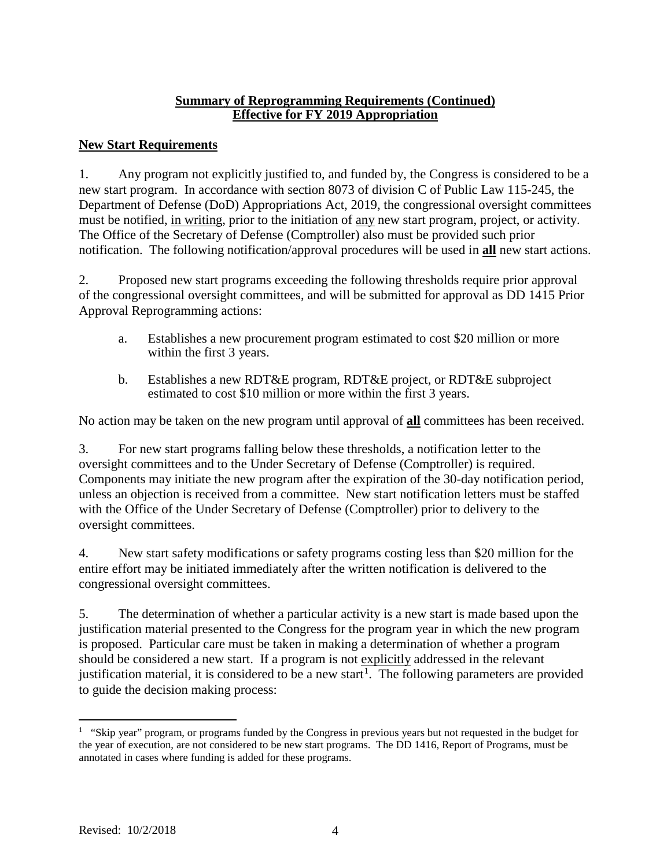# **New Start Requirements**

1. Any program not explicitly justified to, and funded by, the Congress is considered to be a new start program. In accordance with section 8073 of division C of Public Law 115-245, the Department of Defense (DoD) Appropriations Act, 2019, the congressional oversight committees must be notified, in writing, prior to the initiation of any new start program, project, or activity. The Office of the Secretary of Defense (Comptroller) also must be provided such prior notification. The following notification/approval procedures will be used in **all** new start actions.

2. Proposed new start programs exceeding the following thresholds require prior approval of the congressional oversight committees, and will be submitted for approval as DD 1415 Prior Approval Reprogramming actions:

- a. Establishes a new procurement program estimated to cost \$20 million or more within the first 3 years.
- b. Establishes a new RDT&E program, RDT&E project, or RDT&E subproject estimated to cost \$10 million or more within the first 3 years.

No action may be taken on the new program until approval of **all** committees has been received.

3. For new start programs falling below these thresholds, a notification letter to the oversight committees and to the Under Secretary of Defense (Comptroller) is required. Components may initiate the new program after the expiration of the 30-day notification period, unless an objection is received from a committee. New start notification letters must be staffed with the Office of the Under Secretary of Defense (Comptroller) prior to delivery to the oversight committees.

4. New start safety modifications or safety programs costing less than \$20 million for the entire effort may be initiated immediately after the written notification is delivered to the congressional oversight committees.

5. The determination of whether a particular activity is a new start is made based upon the justification material presented to the Congress for the program year in which the new program is proposed. Particular care must be taken in making a determination of whether a program should be considered a new start. If a program is not explicitly addressed in the relevant justification material, it is considered to be a new start<sup>[1](#page-3-0)</sup>. The following parameters are provided to guide the decision making process:

<span id="page-3-0"></span> $\frac{1}{1}$ <sup>1</sup> "Skip year" program, or programs funded by the Congress in previous years but not requested in the budget for the year of execution, are not considered to be new start programs. The DD 1416, Report of Programs, must be annotated in cases where funding is added for these programs.